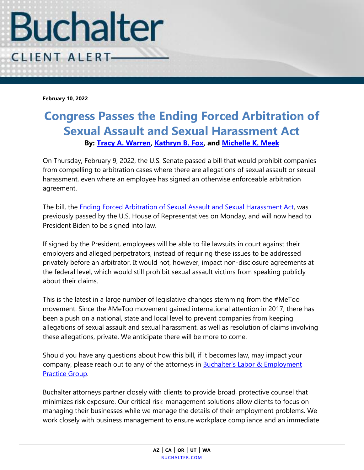

**February 10, 2022**

## **Congress Passes the Ending Forced Arbitration of Sexual Assault and Sexual Harassment Act By: [Tracy A. Warren,](https://www.buchalter.com/attorneys/tracy-a-warren/#bio) [Kathryn B. Fox,](https://www.buchalter.com/attorneys/kathryn-b-fox/#bio) and [Michelle K. Meek](https://www.buchalter.com/attorneys/michelle-k-meek/#bio)**

On Thursday, February 9, 2022, the U.S. Senate passed a bill that would prohibit companies from compelling to arbitration cases where there are allegations of sexual assault or sexual harassment, even where an employee has signed an otherwise enforceable arbitration agreement.

The bill, the [Ending Forced Arbitration of Sexual Assault and Sexual Harassment Act,](https://www.congress.gov/bill/117th-congress/senate-bill/2342/text) was previously passed by the U.S. House of Representatives on Monday, and will now head to President Biden to be signed into law.

If signed by the President, employees will be able to file lawsuits in court against their employers and alleged perpetrators, instead of requiring these issues to be addressed privately before an arbitrator. It would not, however, impact non-disclosure agreements at the federal level, which would still prohibit sexual assault victims from speaking publicly about their claims.

This is the latest in a large number of legislative changes stemming from the #MeToo movement. Since the #MeToo movement gained international attention in 2017, there has been a push on a national, state and local level to prevent companies from keeping allegations of sexual assault and sexual harassment, as well as resolution of claims involving these allegations, private. We anticipate there will be more to come.

Should you have any questions about how this bill, if it becomes law, may impact your company, please reach out to any of the attorneys in **Buchalter's Labor & Employment** [Practice Group.](https://www.buchalter.com/practice-area/labor-employment-law/#overview)

Buchalter attorneys partner closely with clients to provide broad, protective counsel that minimizes risk exposure. Our critical risk-management solutions allow clients to focus on managing their businesses while we manage the details of their employment problems. We work closely with business management to ensure workplace compliance and an immediate